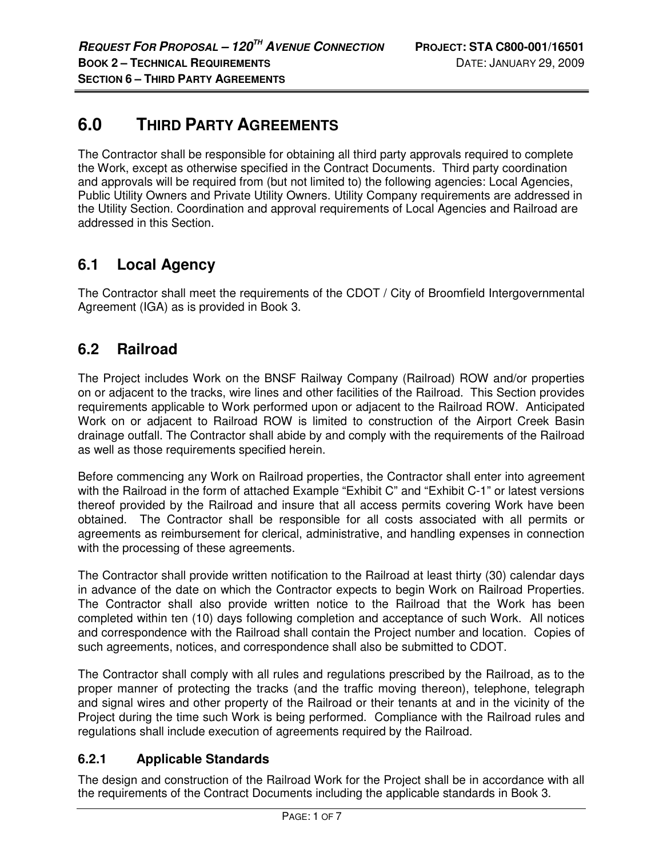# **6.0 THIRD PARTY AGREEMENTS**

The Contractor shall be responsible for obtaining all third party approvals required to complete the Work, except as otherwise specified in the Contract Documents. Third party coordination and approvals will be required from (but not limited to) the following agencies: Local Agencies, Public Utility Owners and Private Utility Owners. Utility Company requirements are addressed in the Utility Section. Coordination and approval requirements of Local Agencies and Railroad are addressed in this Section.

## **6.1 Local Agency**

The Contractor shall meet the requirements of the CDOT / City of Broomfield Intergovernmental Agreement (IGA) as is provided in Book 3.

## **6.2 Railroad**

The Project includes Work on the BNSF Railway Company (Railroad) ROW and/or properties on or adjacent to the tracks, wire lines and other facilities of the Railroad. This Section provides requirements applicable to Work performed upon or adjacent to the Railroad ROW. Anticipated Work on or adjacent to Railroad ROW is limited to construction of the Airport Creek Basin drainage outfall. The Contractor shall abide by and comply with the requirements of the Railroad as well as those requirements specified herein.

Before commencing any Work on Railroad properties, the Contractor shall enter into agreement with the Railroad in the form of attached Example "Exhibit C" and "Exhibit C-1" or latest versions thereof provided by the Railroad and insure that all access permits covering Work have been obtained. The Contractor shall be responsible for all costs associated with all permits or agreements as reimbursement for clerical, administrative, and handling expenses in connection with the processing of these agreements.

The Contractor shall provide written notification to the Railroad at least thirty (30) calendar days in advance of the date on which the Contractor expects to begin Work on Railroad Properties. The Contractor shall also provide written notice to the Railroad that the Work has been completed within ten (10) days following completion and acceptance of such Work. All notices and correspondence with the Railroad shall contain the Project number and location. Copies of such agreements, notices, and correspondence shall also be submitted to CDOT.

The Contractor shall comply with all rules and regulations prescribed by the Railroad, as to the proper manner of protecting the tracks (and the traffic moving thereon), telephone, telegraph and signal wires and other property of the Railroad or their tenants at and in the vicinity of the Project during the time such Work is being performed. Compliance with the Railroad rules and regulations shall include execution of agreements required by the Railroad.

### **6.2.1 Applicable Standards**

The design and construction of the Railroad Work for the Project shall be in accordance with all the requirements of the Contract Documents including the applicable standards in Book 3.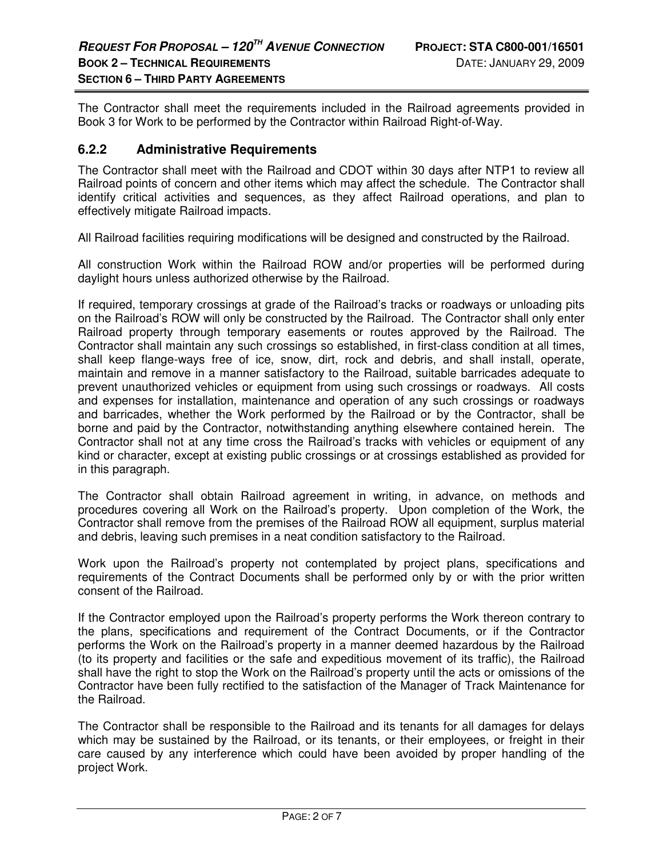The Contractor shall meet the requirements included in the Railroad agreements provided in Book 3 for Work to be performed by the Contractor within Railroad Right-of-Way.

#### **6.2.2 Administrative Requirements**

The Contractor shall meet with the Railroad and CDOT within 30 days after NTP1 to review all Railroad points of concern and other items which may affect the schedule. The Contractor shall identify critical activities and sequences, as they affect Railroad operations, and plan to effectively mitigate Railroad impacts.

All Railroad facilities requiring modifications will be designed and constructed by the Railroad.

All construction Work within the Railroad ROW and/or properties will be performed during daylight hours unless authorized otherwise by the Railroad.

If required, temporary crossings at grade of the Railroad's tracks or roadways or unloading pits on the Railroad's ROW will only be constructed by the Railroad. The Contractor shall only enter Railroad property through temporary easements or routes approved by the Railroad. The Contractor shall maintain any such crossings so established, in first-class condition at all times, shall keep flange-ways free of ice, snow, dirt, rock and debris, and shall install, operate, maintain and remove in a manner satisfactory to the Railroad, suitable barricades adequate to prevent unauthorized vehicles or equipment from using such crossings or roadways. All costs and expenses for installation, maintenance and operation of any such crossings or roadways and barricades, whether the Work performed by the Railroad or by the Contractor, shall be borne and paid by the Contractor, notwithstanding anything elsewhere contained herein. The Contractor shall not at any time cross the Railroad's tracks with vehicles or equipment of any kind or character, except at existing public crossings or at crossings established as provided for in this paragraph.

The Contractor shall obtain Railroad agreement in writing, in advance, on methods and procedures covering all Work on the Railroad's property. Upon completion of the Work, the Contractor shall remove from the premises of the Railroad ROW all equipment, surplus material and debris, leaving such premises in a neat condition satisfactory to the Railroad.

Work upon the Railroad's property not contemplated by project plans, specifications and requirements of the Contract Documents shall be performed only by or with the prior written consent of the Railroad.

If the Contractor employed upon the Railroad's property performs the Work thereon contrary to the plans, specifications and requirement of the Contract Documents, or if the Contractor performs the Work on the Railroad's property in a manner deemed hazardous by the Railroad (to its property and facilities or the safe and expeditious movement of its traffic), the Railroad shall have the right to stop the Work on the Railroad's property until the acts or omissions of the Contractor have been fully rectified to the satisfaction of the Manager of Track Maintenance for the Railroad.

The Contractor shall be responsible to the Railroad and its tenants for all damages for delays which may be sustained by the Railroad, or its tenants, or their employees, or freight in their care caused by any interference which could have been avoided by proper handling of the project Work.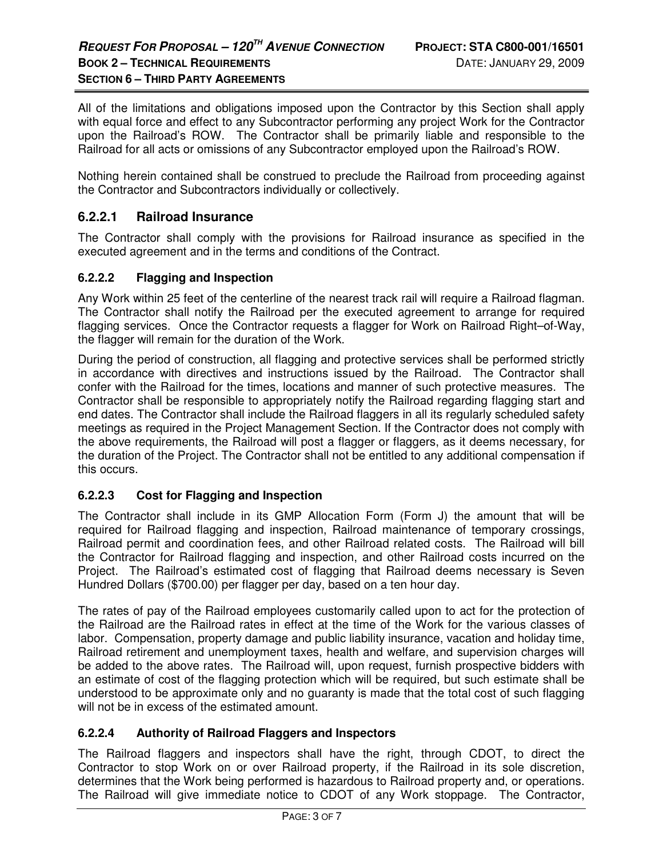All of the limitations and obligations imposed upon the Contractor by this Section shall apply with equal force and effect to any Subcontractor performing any project Work for the Contractor upon the Railroad's ROW. The Contractor shall be primarily liable and responsible to the Railroad for all acts or omissions of any Subcontractor employed upon the Railroad's ROW.

Nothing herein contained shall be construed to preclude the Railroad from proceeding against the Contractor and Subcontractors individually or collectively.

#### **6.2.2.1 Railroad Insurance**

The Contractor shall comply with the provisions for Railroad insurance as specified in the executed agreement and in the terms and conditions of the Contract.

#### **6.2.2.2 Flagging and Inspection**

Any Work within 25 feet of the centerline of the nearest track rail will require a Railroad flagman. The Contractor shall notify the Railroad per the executed agreement to arrange for required flagging services. Once the Contractor requests a flagger for Work on Railroad Right–of-Way, the flagger will remain for the duration of the Work.

During the period of construction, all flagging and protective services shall be performed strictly in accordance with directives and instructions issued by the Railroad. The Contractor shall confer with the Railroad for the times, locations and manner of such protective measures. The Contractor shall be responsible to appropriately notify the Railroad regarding flagging start and end dates. The Contractor shall include the Railroad flaggers in all its regularly scheduled safety meetings as required in the Project Management Section. If the Contractor does not comply with the above requirements, the Railroad will post a flagger or flaggers, as it deems necessary, for the duration of the Project. The Contractor shall not be entitled to any additional compensation if this occurs.

#### **6.2.2.3 Cost for Flagging and Inspection**

The Contractor shall include in its GMP Allocation Form (Form J) the amount that will be required for Railroad flagging and inspection, Railroad maintenance of temporary crossings, Railroad permit and coordination fees, and other Railroad related costs. The Railroad will bill the Contractor for Railroad flagging and inspection, and other Railroad costs incurred on the Project. The Railroad's estimated cost of flagging that Railroad deems necessary is Seven Hundred Dollars (\$700.00) per flagger per day, based on a ten hour day.

The rates of pay of the Railroad employees customarily called upon to act for the protection of the Railroad are the Railroad rates in effect at the time of the Work for the various classes of labor. Compensation, property damage and public liability insurance, vacation and holiday time, Railroad retirement and unemployment taxes, health and welfare, and supervision charges will be added to the above rates. The Railroad will, upon request, furnish prospective bidders with an estimate of cost of the flagging protection which will be required, but such estimate shall be understood to be approximate only and no guaranty is made that the total cost of such flagging will not be in excess of the estimated amount.

#### **6.2.2.4 Authority of Railroad Flaggers and Inspectors**

The Railroad flaggers and inspectors shall have the right, through CDOT, to direct the Contractor to stop Work on or over Railroad property, if the Railroad in its sole discretion, determines that the Work being performed is hazardous to Railroad property and, or operations. The Railroad will give immediate notice to CDOT of any Work stoppage. The Contractor,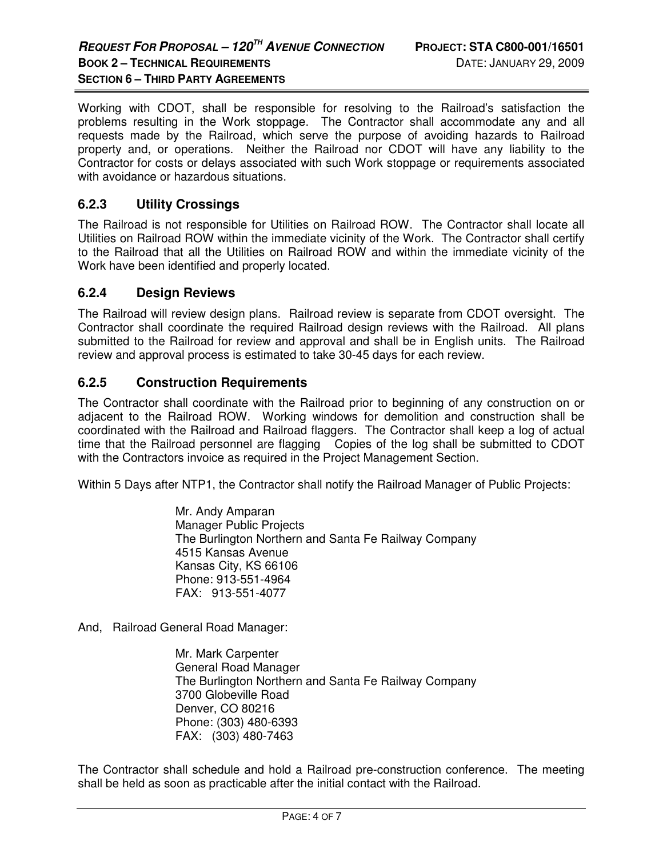Working with CDOT, shall be responsible for resolving to the Railroad's satisfaction the problems resulting in the Work stoppage. The Contractor shall accommodate any and all requests made by the Railroad, which serve the purpose of avoiding hazards to Railroad property and, or operations. Neither the Railroad nor CDOT will have any liability to the Contractor for costs or delays associated with such Work stoppage or requirements associated with avoidance or hazardous situations.

#### **6.2.3 Utility Crossings**

The Railroad is not responsible for Utilities on Railroad ROW. The Contractor shall locate all Utilities on Railroad ROW within the immediate vicinity of the Work. The Contractor shall certify to the Railroad that all the Utilities on Railroad ROW and within the immediate vicinity of the Work have been identified and properly located.

#### **6.2.4 Design Reviews**

The Railroad will review design plans. Railroad review is separate from CDOT oversight. The Contractor shall coordinate the required Railroad design reviews with the Railroad. All plans submitted to the Railroad for review and approval and shall be in English units. The Railroad review and approval process is estimated to take 30-45 days for each review.

#### **6.2.5 Construction Requirements**

The Contractor shall coordinate with the Railroad prior to beginning of any construction on or adjacent to the Railroad ROW. Working windows for demolition and construction shall be coordinated with the Railroad and Railroad flaggers. The Contractor shall keep a log of actual time that the Railroad personnel are flagging Copies of the log shall be submitted to CDOT with the Contractors invoice as required in the Project Management Section.

Within 5 Days after NTP1, the Contractor shall notify the Railroad Manager of Public Projects:

Mr. Andy Amparan Manager Public Projects The Burlington Northern and Santa Fe Railway Company 4515 Kansas Avenue Kansas City, KS 66106 Phone: 913-551-4964 FAX: 913-551-4077

And, Railroad General Road Manager:

Mr. Mark Carpenter General Road Manager The Burlington Northern and Santa Fe Railway Company 3700 Globeville Road Denver, CO 80216 Phone: (303) 480-6393 FAX: (303) 480-7463

The Contractor shall schedule and hold a Railroad pre-construction conference. The meeting shall be held as soon as practicable after the initial contact with the Railroad.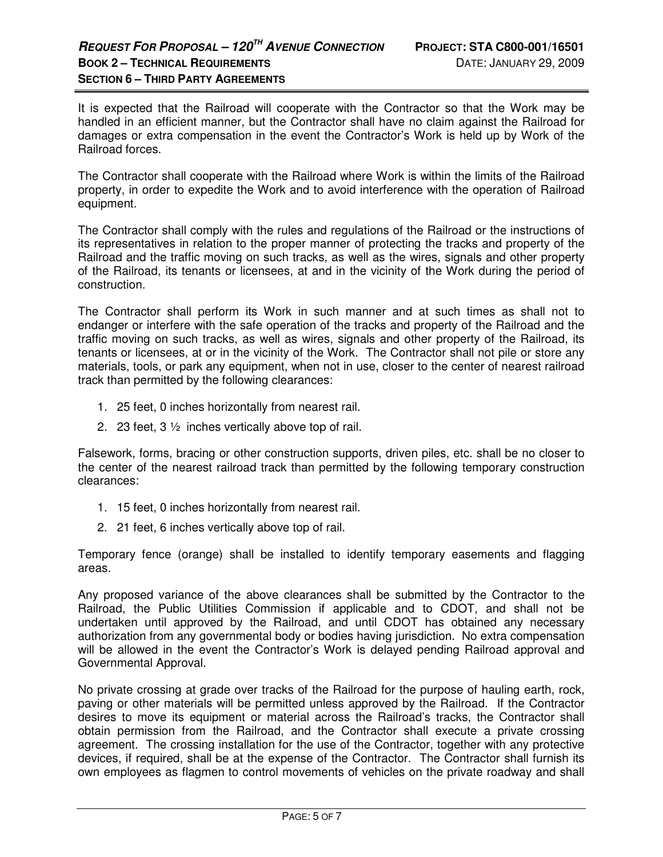It is expected that the Railroad will cooperate with the Contractor so that the Work may be handled in an efficient manner, but the Contractor shall have no claim against the Railroad for damages or extra compensation in the event the Contractor's Work is held up by Work of the Railroad forces.

The Contractor shall cooperate with the Railroad where Work is within the limits of the Railroad property, in order to expedite the Work and to avoid interference with the operation of Railroad equipment.

The Contractor shall comply with the rules and regulations of the Railroad or the instructions of its representatives in relation to the proper manner of protecting the tracks and property of the Railroad and the traffic moving on such tracks, as well as the wires, signals and other property of the Railroad, its tenants or licensees, at and in the vicinity of the Work during the period of construction.

The Contractor shall perform its Work in such manner and at such times as shall not to endanger or interfere with the safe operation of the tracks and property of the Railroad and the traffic moving on such tracks, as well as wires, signals and other property of the Railroad, its tenants or licensees, at or in the vicinity of the Work. The Contractor shall not pile or store any materials, tools, or park any equipment, when not in use, closer to the center of nearest railroad track than permitted by the following clearances:

- 1. 25 feet, 0 inches horizontally from nearest rail.
- 2. 23 feet, 3 ½ inches vertically above top of rail.

Falsework, forms, bracing or other construction supports, driven piles, etc. shall be no closer to the center of the nearest railroad track than permitted by the following temporary construction clearances:

- 1. 15 feet, 0 inches horizontally from nearest rail.
- 2. 21 feet, 6 inches vertically above top of rail.

Temporary fence (orange) shall be installed to identify temporary easements and flagging areas.

Any proposed variance of the above clearances shall be submitted by the Contractor to the Railroad, the Public Utilities Commission if applicable and to CDOT, and shall not be undertaken until approved by the Railroad, and until CDOT has obtained any necessary authorization from any governmental body or bodies having jurisdiction. No extra compensation will be allowed in the event the Contractor's Work is delayed pending Railroad approval and Governmental Approval.

No private crossing at grade over tracks of the Railroad for the purpose of hauling earth, rock, paving or other materials will be permitted unless approved by the Railroad. If the Contractor desires to move its equipment or material across the Railroad's tracks, the Contractor shall obtain permission from the Railroad, and the Contractor shall execute a private crossing agreement. The crossing installation for the use of the Contractor, together with any protective devices, if required, shall be at the expense of the Contractor. The Contractor shall furnish its own employees as flagmen to control movements of vehicles on the private roadway and shall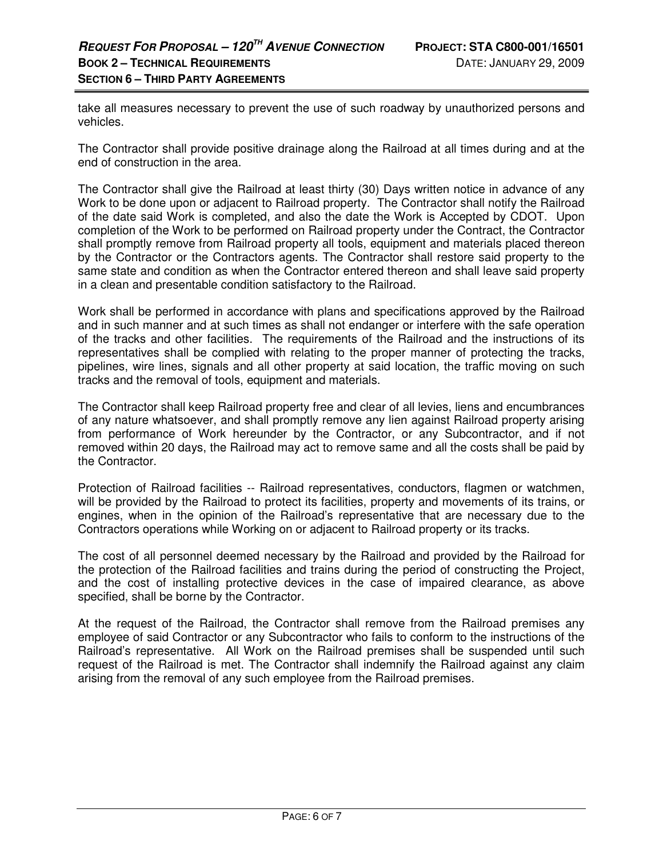take all measures necessary to prevent the use of such roadway by unauthorized persons and vehicles.

The Contractor shall provide positive drainage along the Railroad at all times during and at the end of construction in the area.

The Contractor shall give the Railroad at least thirty (30) Days written notice in advance of any Work to be done upon or adjacent to Railroad property. The Contractor shall notify the Railroad of the date said Work is completed, and also the date the Work is Accepted by CDOT. Upon completion of the Work to be performed on Railroad property under the Contract, the Contractor shall promptly remove from Railroad property all tools, equipment and materials placed thereon by the Contractor or the Contractors agents. The Contractor shall restore said property to the same state and condition as when the Contractor entered thereon and shall leave said property in a clean and presentable condition satisfactory to the Railroad.

Work shall be performed in accordance with plans and specifications approved by the Railroad and in such manner and at such times as shall not endanger or interfere with the safe operation of the tracks and other facilities. The requirements of the Railroad and the instructions of its representatives shall be complied with relating to the proper manner of protecting the tracks, pipelines, wire lines, signals and all other property at said location, the traffic moving on such tracks and the removal of tools, equipment and materials.

The Contractor shall keep Railroad property free and clear of all levies, liens and encumbrances of any nature whatsoever, and shall promptly remove any lien against Railroad property arising from performance of Work hereunder by the Contractor, or any Subcontractor, and if not removed within 20 days, the Railroad may act to remove same and all the costs shall be paid by the Contractor.

Protection of Railroad facilities -- Railroad representatives, conductors, flagmen or watchmen, will be provided by the Railroad to protect its facilities, property and movements of its trains, or engines, when in the opinion of the Railroad's representative that are necessary due to the Contractors operations while Working on or adjacent to Railroad property or its tracks.

The cost of all personnel deemed necessary by the Railroad and provided by the Railroad for the protection of the Railroad facilities and trains during the period of constructing the Project, and the cost of installing protective devices in the case of impaired clearance, as above specified, shall be borne by the Contractor.

At the request of the Railroad, the Contractor shall remove from the Railroad premises any employee of said Contractor or any Subcontractor who fails to conform to the instructions of the Railroad's representative. All Work on the Railroad premises shall be suspended until such request of the Railroad is met. The Contractor shall indemnify the Railroad against any claim arising from the removal of any such employee from the Railroad premises.